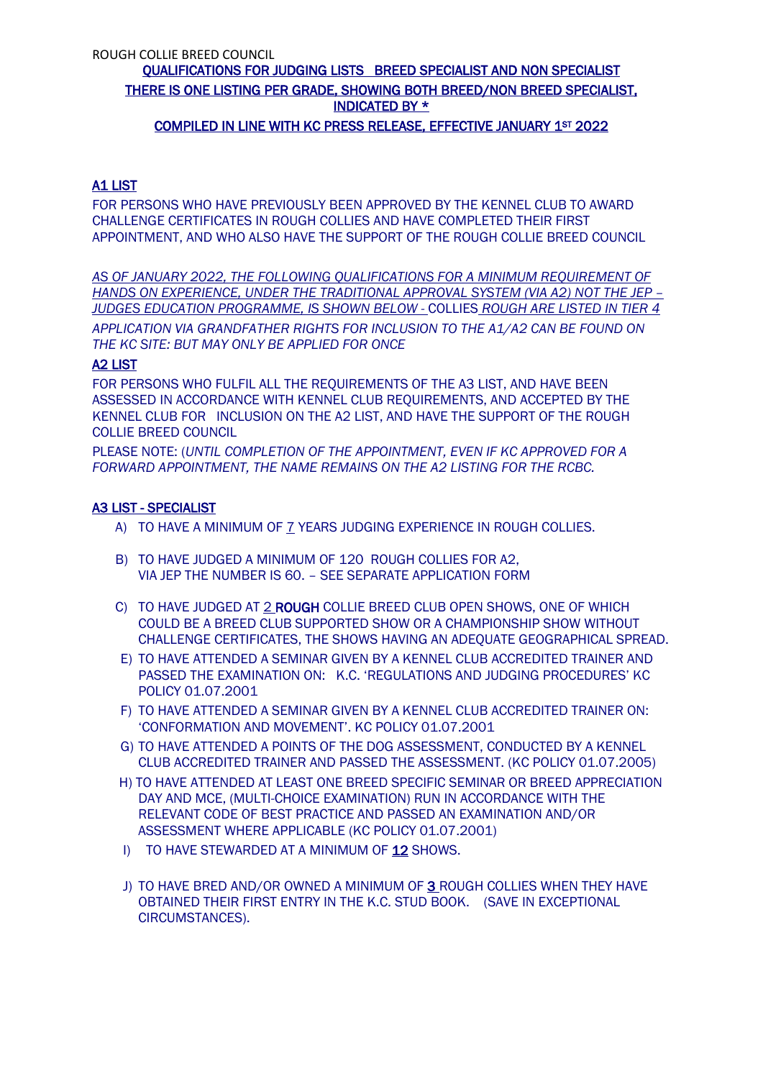# COMPILED IN LINE WITH KC PRESS RELEASE, EFFECTIVE JANUARY 1ST 2022

## A1 LIST

FOR PERSONS WHO HAVE PREVIOUSLY BEEN APPROVED BY THE KENNEL CLUB TO AWARD CHALLENGE CERTIFICATES IN ROUGH COLLIES AND HAVE COMPLETED THEIR FIRST APPOINTMENT, AND WHO ALSO HAVE THE SUPPORT OF THE ROUGH COLLIE BREED COUNCIL

*AS OF JANUARY 2022, THE FOLLOWING QUALIFICATIONS FOR A MINIMUM REQUIREMENT OF HANDS ON EXPERIENCE, UNDER THE TRADITIONAL APPROVAL SYSTEM (VIA A2) NOT THE JEP – JUDGES EDUCATION PROGRAMME, IS SHOWN BELOW -* COLLIES *ROUGH ARE LISTED IN TIER 4 APPLICATION VIA GRANDFATHER RIGHTS FOR INCLUSION TO THE A1/A2 CAN BE FOUND ON THE KC SITE: BUT MAY ONLY BE APPLIED FOR ONCE*

## A2 LIST

FOR PERSONS WHO FULFIL ALL THE REQUIREMENTS OF THE A3 LIST, AND HAVE BEEN ASSESSED IN ACCORDANCE WITH KENNEL CLUB REQUIREMENTS, AND ACCEPTED BY THE KENNEL CLUB FOR INCLUSION ON THE A2 LIST, AND HAVE THE SUPPORT OF THE ROUGH COLLIE BREED COUNCIL

PLEASE NOTE: (*UNTIL COMPLETION OF THE APPOINTMENT, EVEN IF KC APPROVED FOR A FORWARD APPOINTMENT, THE NAME REMAINS ON THE A2 LISTING FOR THE RCBC.*

## A3 LIST - SPECIALIST

- A) TO HAVE A MINIMUM OF 7 YEARS JUDGING EXPERIENCE IN ROUGH COLLIES.
- B) TO HAVE JUDGED A MINIMUM OF 120 ROUGH COLLIES FOR A2, VIA JEP THE NUMBER IS 60. – SEE SEPARATE APPLICATION FORM
- C) TO HAVE JUDGED AT 2 ROUGH COLLIE BREED CLUB OPEN SHOWS, ONE OF WHICH COULD BE A BREED CLUB SUPPORTED SHOW OR A CHAMPIONSHIP SHOW WITHOUT CHALLENGE CERTIFICATES, THE SHOWS HAVING AN ADEQUATE GEOGRAPHICAL SPREAD.
- E) TO HAVE ATTENDED A SEMINAR GIVEN BY A KENNEL CLUB ACCREDITED TRAINER AND PASSED THE EXAMINATION ON: K.C. 'REGULATIONS AND JUDGING PROCEDURES' KC POLICY 01.07.2001
- F) TO HAVE ATTENDED A SEMINAR GIVEN BY A KENNEL CLUB ACCREDITED TRAINER ON: 'CONFORMATION AND MOVEMENT'. KC POLICY 01.07.2001
- G) TO HAVE ATTENDED A POINTS OF THE DOG ASSESSMENT, CONDUCTED BY A KENNEL CLUB ACCREDITED TRAINER AND PASSED THE ASSESSMENT. (KC POLICY 01.07.2005)
- H) TO HAVE ATTENDED AT LEAST ONE BREED SPECIFIC SEMINAR OR BREED APPRECIATION DAY AND MCE, (MULTI-CHOICE EXAMINATION) RUN IN ACCORDANCE WITH THE RELEVANT CODE OF BEST PRACTICE AND PASSED AN EXAMINATION AND/OR ASSESSMENT WHERE APPLICABLE (KC POLICY 01.07.2001)
- I) TO HAVE STEWARDED AT A MINIMUM OF 12 SHOWS.
- J) TO HAVE BRED AND/OR OWNED A MINIMUM OF 3 ROUGH COLLIES WHEN THEY HAVE OBTAINED THEIR FIRST ENTRY IN THE K.C. STUD BOOK. (SAVE IN EXCEPTIONAL CIRCUMSTANCES).